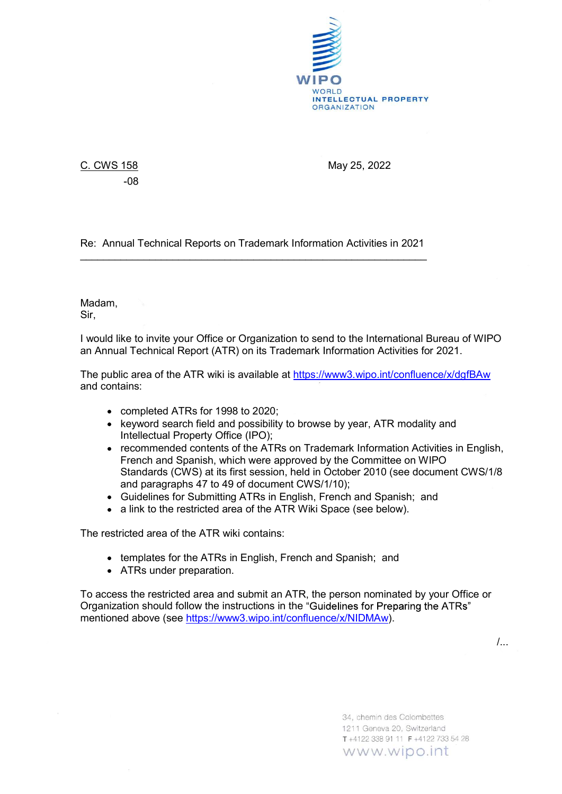

-08

C. CWS 158 May 25, 2022

Re: Annual Technical Reports on Trademark Information Activities in 2021 \_\_\_\_\_\_\_\_\_\_\_\_\_\_\_\_\_\_\_\_\_\_\_\_\_\_\_\_\_\_\_\_\_\_\_\_\_\_\_\_\_\_\_\_\_\_\_\_\_\_\_\_\_\_\_\_\_\_\_\_ Madam,

Sir,

I would like to invite your Office or Organization to send to the International Bureau of WIPO an Annual Technical Report (ATR) on its Trademark Information Activities for 2021.

The public area of the ATR wiki is available at https://www3.wipo.int/confluence/x/dgfBAw and contains:

- completed ATRs for 1998 to 2020;
- keyword search field and possibility to browse by year, ATR modality and Intellectual Property Office (IPO);
- recommended contents of the ATRs on Trademark Information Activities in English, French and Spanish, which were approved by the Committee on WIPO Standards (CWS) at its first session, held in October 2010 (see document CWS/1/8 and paragraphs 47 to 49 of document CWS/1/10);
- Guidelines for Submitting ATRs in English, French and Spanish; and
- a link to the restricted area of the ATR Wiki Space (see below).

The restricted area of the ATR wiki contains:

- templates for the ATRs in English, French and Spanish; and
- ATRs under preparation.

To access the restricted area and submit an ATR, the person nominated by your Office or Organization should follow the instructions in the "Guidelines for Preparing the ATRs" mentioned above (see https://www3.wipo.int/confluence/x/NIDMAw).

/...

34, chemin des Colombettes 1211 Geneva 20, Switzerland T+4122 338 91 11 F+4122 733 54 28 www.wipo.int